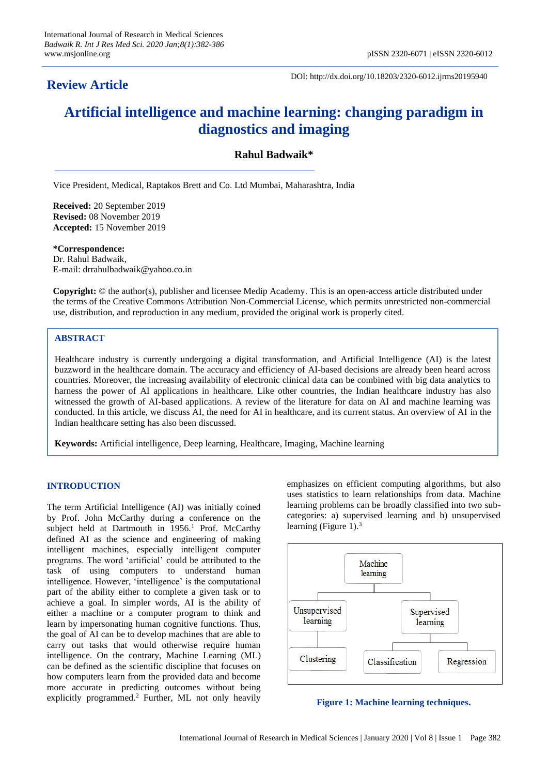# **Review Article**

DOI: http://dx.doi.org/10.18203/2320-6012.ijrms20195940

# **Artificial intelligence and machine learning: changing paradigm in diagnostics and imaging**

# **Rahul Badwaik\***

Vice President, Medical, Raptakos Brett and Co. Ltd Mumbai, Maharashtra, India

**Received:** 20 September 2019 **Revised:** 08 November 2019 **Accepted:** 15 November 2019

**\*Correspondence:** Dr. Rahul Badwaik, E-mail: drrahulbadwaik@yahoo.co.in

**Copyright:** © the author(s), publisher and licensee Medip Academy. This is an open-access article distributed under the terms of the Creative Commons Attribution Non-Commercial License, which permits unrestricted non-commercial use, distribution, and reproduction in any medium, provided the original work is properly cited.

# **ABSTRACT**

Healthcare industry is currently undergoing a digital transformation, and Artificial Intelligence (AI) is the latest buzzword in the healthcare domain. The accuracy and efficiency of AI-based decisions are already been heard across countries. Moreover, the increasing availability of electronic clinical data can be combined with big data analytics to harness the power of AI applications in healthcare. Like other countries, the Indian healthcare industry has also witnessed the growth of AI-based applications. A review of the literature for data on AI and machine learning was conducted. In this article, we discuss AI, the need for AI in healthcare, and its current status. An overview of AI in the Indian healthcare setting has also been discussed.

**Keywords:** Artificial intelligence, Deep learning, Healthcare, Imaging, Machine learning

# **INTRODUCTION**

The term Artificial Intelligence (AI) was initially coined by Prof. John McCarthy during a conference on the subject held at Dartmouth in  $1956<sup>1</sup>$  Prof. McCarthy defined AI as the science and engineering of making intelligent machines, especially intelligent computer programs. The word 'artificial' could be attributed to the task of using computers to understand human intelligence. However, 'intelligence' is the computational part of the ability either to complete a given task or to achieve a goal. In simpler words, AI is the ability of either a machine or a computer program to think and learn by impersonating human cognitive functions. Thus, the goal of AI can be to develop machines that are able to carry out tasks that would otherwise require human intelligence. On the contrary, Machine Learning (ML) can be defined as the scientific discipline that focuses on how computers learn from the provided data and become more accurate in predicting outcomes without being explicitly programmed.<sup>2</sup> Further, ML not only heavily

emphasizes on efficient computing algorithms, but also uses statistics to learn relationships from data. Machine learning problems can be broadly classified into two subcategories: a) supervised learning and b) unsupervised learning (Figure 1). $3$ 



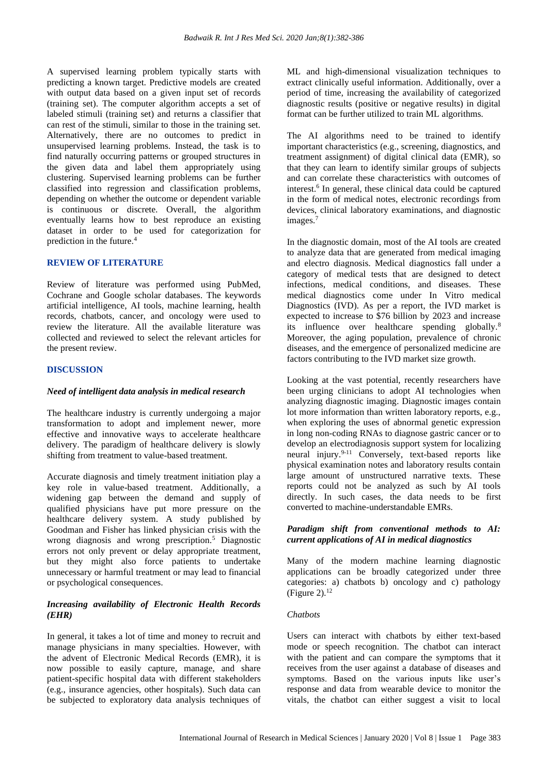A supervised learning problem typically starts with predicting a known target. Predictive models are created with output data based on a given input set of records (training set). The computer algorithm accepts a set of labeled stimuli (training set) and returns a classifier that can rest of the stimuli, similar to those in the training set. Alternatively, there are no outcomes to predict in unsupervised learning problems. Instead, the task is to find naturally occurring patterns or grouped structures in the given data and label them appropriately using clustering. Supervised learning problems can be further classified into regression and classification problems, depending on whether the outcome or dependent variable is continuous or discrete. Overall, the algorithm eventually learns how to best reproduce an existing dataset in order to be used for categorization for prediction in the future.<sup>4</sup>

#### **REVIEW OF LITERATURE**

Review of literature was performed using PubMed, Cochrane and Google scholar databases. The keywords artificial intelligence, AI tools, machine learning, health records, chatbots, cancer, and oncology were used to review the literature. All the available literature was collected and reviewed to select the relevant articles for the present review.

#### **DISCUSSION**

### *Need of intelligent data analysis in medical research*

The healthcare industry is currently undergoing a major transformation to adopt and implement newer, more effective and innovative ways to accelerate healthcare delivery. The paradigm of healthcare delivery is slowly shifting from treatment to value-based treatment.

Accurate diagnosis and timely treatment initiation play a key role in value-based treatment. Additionally, a widening gap between the demand and supply of qualified physicians have put more pressure on the healthcare delivery system. A study published by Goodman and Fisher has linked physician crisis with the wrong diagnosis and wrong prescription.<sup>5</sup> Diagnostic errors not only prevent or delay appropriate treatment, but they might also force patients to undertake unnecessary or harmful treatment or may lead to financial or psychological consequences.

# *Increasing availability of Electronic Health Records (EHR)*

In general, it takes a lot of time and money to recruit and manage physicians in many specialties. However, with the advent of Electronic Medical Records (EMR), it is now possible to easily capture, manage, and share patient-specific hospital data with different stakeholders (e.g., insurance agencies, other hospitals). Such data can be subjected to exploratory data analysis techniques of ML and high-dimensional visualization techniques to extract clinically useful information. Additionally, over a period of time, increasing the availability of categorized diagnostic results (positive or negative results) in digital format can be further utilized to train ML algorithms.

The AI algorithms need to be trained to identify important characteristics (e.g., screening, diagnostics, and treatment assignment) of digital clinical data (EMR), so that they can learn to identify similar groups of subjects and can correlate these characteristics with outcomes of interest.<sup>6</sup> In general, these clinical data could be captured in the form of medical notes, electronic recordings from devices, clinical laboratory examinations, and diagnostic images.<sup>7</sup>

In the diagnostic domain, most of the AI tools are created to analyze data that are generated from medical imaging and electro diagnosis. Medical diagnostics fall under a category of medical tests that are designed to detect infections, medical conditions, and diseases. These medical diagnostics come under In Vitro medical Diagnostics (IVD). As per a report, the IVD market is expected to increase to \$76 billion by 2023 and increase its influence over healthcare spending globally.<sup>8</sup> Moreover, the aging population, prevalence of chronic diseases, and the emergence of personalized medicine are factors contributing to the IVD market size growth.

Looking at the vast potential, recently researchers have been urging clinicians to adopt AI technologies when analyzing diagnostic imaging. Diagnostic images contain lot more information than written laboratory reports, e.g., when exploring the uses of abnormal genetic expression in long non-coding RNAs to diagnose gastric cancer or to develop an electrodiagnosis support system for localizing neural injury. $9-11$  Conversely, text-based reports like physical examination notes and laboratory results contain large amount of unstructured narrative texts. These reports could not be analyzed as such by AI tools directly. In such cases, the data needs to be first converted to machine-understandable EMRs.

#### *Paradigm shift from conventional methods to AI: current applications of AI in medical diagnostics*

Many of the modern machine learning diagnostic applications can be broadly categorized under three categories: a) chatbots b) oncology and c) pathology (Figure 2). $12$ 

#### *Chatbots*

Users can interact with chatbots by either text-based mode or speech recognition. The chatbot can interact with the patient and can compare the symptoms that it receives from the user against a database of diseases and symptoms. Based on the various inputs like user's response and data from wearable device to monitor the vitals, the chatbot can either suggest a visit to local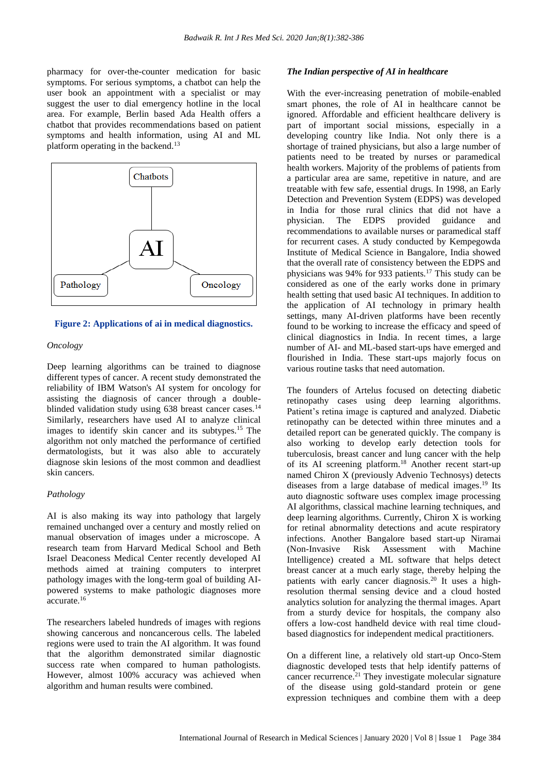pharmacy for over-the-counter medication for basic symptoms. For serious symptoms, a chatbot can help the user book an appointment with a specialist or may suggest the user to dial emergency hotline in the local area. For example, Berlin based Ada Health offers a chatbot that provides recommendations based on patient symptoms and health information, using AI and ML platform operating in the backend.<sup>13</sup>



#### **Figure 2: Applications of ai in medical diagnostics.**

#### *Oncology*

Deep learning algorithms can be trained to diagnose different types of cancer. A recent study demonstrated the reliability of IBM Watson's AI system for oncology for assisting the diagnosis of cancer through a doubleblinded validation study using 638 breast cancer cases.<sup>14</sup> Similarly, researchers have used AI to analyze clinical images to identify skin cancer and its subtypes.<sup>15</sup> The algorithm not only matched the performance of certified dermatologists, but it was also able to accurately diagnose skin lesions of the most common and deadliest skin cancers.

#### *Pathology*

AI is also making its way into pathology that largely remained unchanged over a century and mostly relied on manual observation of images under a microscope. A research team from Harvard Medical School and Beth Israel Deaconess Medical Center recently developed AI methods aimed at training computers to interpret pathology images with the long-term goal of building AIpowered systems to make pathologic diagnoses more accurate.<sup>16</sup>

The researchers labeled hundreds of images with regions showing cancerous and noncancerous cells. The labeled regions were used to train the AI algorithm. It was found that the algorithm demonstrated similar diagnostic success rate when compared to human pathologists. However, almost 100% accuracy was achieved when algorithm and human results were combined.

#### *The Indian perspective of AI in healthcare*

With the ever-increasing penetration of mobile-enabled smart phones, the role of AI in healthcare cannot be ignored. Affordable and efficient healthcare delivery is part of important social missions, especially in a developing country like India. Not only there is a shortage of trained physicians, but also a large number of patients need to be treated by nurses or paramedical health workers. Majority of the problems of patients from a particular area are same, repetitive in nature, and are treatable with few safe, essential drugs. In 1998, an Early Detection and Prevention System (EDPS) was developed in India for those rural clinics that did not have a physician. The EDPS provided guidance and recommendations to available nurses or paramedical staff for recurrent cases. A study conducted by Kempegowda Institute of Medical Science in Bangalore, India showed that the overall rate of consistency between the EDPS and physicians was 94% for 933 patients.<sup>17</sup> This study can be considered as one of the early works done in primary health setting that used basic AI techniques. In addition to the application of AI technology in primary health settings, many AI-driven platforms have been recently found to be working to increase the efficacy and speed of clinical diagnostics in India. In recent times, a large number of AI- and ML-based start-ups have emerged and flourished in India. These start-ups majorly focus on various routine tasks that need automation.

The founders of Artelus focused on detecting diabetic retinopathy cases using deep learning algorithms. Patient's retina image is captured and analyzed. Diabetic retinopathy can be detected within three minutes and a detailed report can be generated quickly. The company is also working to develop early detection tools for tuberculosis, breast cancer and lung cancer with the help of its AI screening platform.<sup>18</sup> Another recent start-up named Chiron X (previously Advenio Technosys) detects diseases from a large database of medical images. <sup>19</sup> Its auto diagnostic software uses complex image processing AI algorithms, classical machine learning techniques, and deep learning algorithms. Currently, Chiron X is working for retinal abnormality detections and acute respiratory infections. Another Bangalore based start-up Niramai (Non-Invasive Risk Assessment with Machine Intelligence) created a ML software that helps detect breast cancer at a much early stage, thereby helping the patients with early cancer diagnosis.<sup>20</sup> It uses a highresolution thermal sensing device and a cloud hosted analytics solution for analyzing the thermal images. Apart from a sturdy device for hospitals, the company also offers a low-cost handheld device with real time cloudbased diagnostics for independent medical practitioners.

On a different line, a relatively old start-up Onco-Stem diagnostic developed tests that help identify patterns of cancer recurrence.<sup>21</sup> They investigate molecular signature of the disease using gold-standard protein or gene expression techniques and combine them with a deep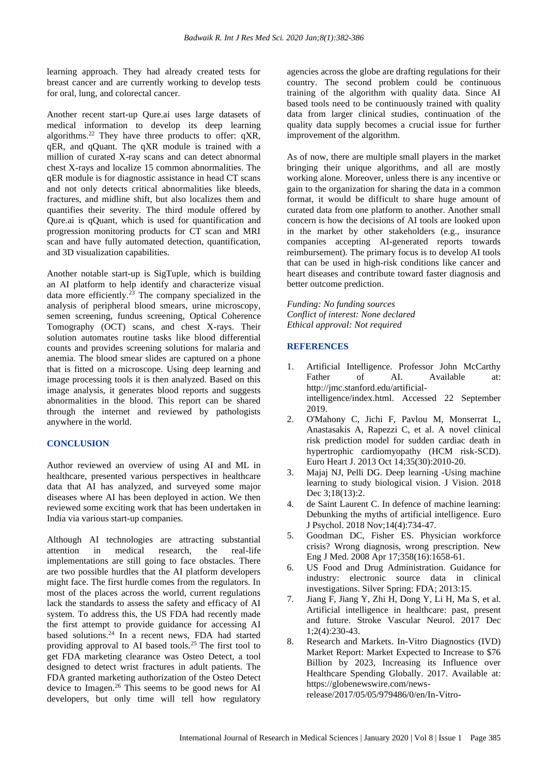learning approach. They had already created tests for breast cancer and are currently working to develop tests for oral, lung, and colorectal cancer.

Another recent start-up Qure.ai uses large datasets of medical information to develop its deep learning algorithms.<sup>22</sup> They have three products to offer: qXR, qER, and qQuant. The qXR module is trained with a million of curated X-ray scans and can detect abnormal chest X-rays and localize 15 common abnormalities. The qER module is for diagnostic assistance in head CT scans and not only detects critical abnormalities like bleeds, fractures, and midline shift, but also localizes them and quantifies their severity. The third module offered by Qure.ai is qQuant, which is used for quantification and progression monitoring products for CT scan and MRI scan and have fully automated detection, quantification, and 3D visualization capabilities.

Another notable start-up is SigTuple, which is building an AI platform to help identify and characterize visual data more efficiently.<sup>23</sup> The company specialized in the analysis of peripheral blood smears, urine microscopy, semen screening, fundus screening, Optical Coherence Tomography (OCT) scans, and chest X-rays. Their solution automates routine tasks like blood differential counts and provides screening solutions for malaria and anemia. The blood smear slides are captured on a phone that is fitted on a microscope. Using deep learning and image processing tools it is then analyzed. Based on this image analysis, it generates blood reports and suggests abnormalities in the blood. This report can be shared through the internet and reviewed by pathologists anywhere in the world.

# **CONCLUSION**

Author reviewed an overview of using AI and ML in healthcare, presented various perspectives in healthcare data that AI has analyzed, and surveyed some major diseases where AI has been deployed in action. We then reviewed some exciting work that has been undertaken in India via various start-up companies.

Although AI technologies are attracting substantial attention in medical research, the real-life implementations are still going to face obstacles. There are two possible hurdles that the AI platform developers might face. The first hurdle comes from the regulators. In most of the places across the world, current regulations lack the standards to assess the safety and efficacy of AI system. To address this, the US FDA had recently made the first attempt to provide guidance for accessing AI based solutions.<sup>24</sup> In a recent news, FDA had started providing approval to AI based tools.<sup>25</sup> The first tool to get FDA marketing clearance was Osteo Detect, a tool designed to detect wrist fractures in adult patients. The FDA granted marketing authorization of the Osteo Detect device to Imagen.<sup>26</sup> This seems to be good news for AI developers, but only time will tell how regulatory agencies across the globe are drafting regulations for their country. The second problem could be continuous training of the algorithm with quality data. Since AI based tools need to be continuously trained with quality data from larger clinical studies, continuation of the quality data supply becomes a crucial issue for further improvement of the algorithm.

As of now, there are multiple small players in the market bringing their unique algorithms, and all are mostly working alone. Moreover, unless there is any incentive or gain to the organization for sharing the data in a common format, it would be difficult to share huge amount of curated data from one platform to another. Another small concern is how the decisions of AI tools are looked upon in the market by other stakeholders (e.g., insurance companies accepting AI-generated reports towards reimbursement). The primary focus is to develop AI tools that can be used in high-risk conditions like cancer and heart diseases and contribute toward faster diagnosis and better outcome prediction.

*Funding: No funding sources Conflict of interest: None declared Ethical approval: Not required*

# **REFERENCES**

- 1. Artificial Intelligence. Professor John McCarthy Father of AI. Available at: http://jmc.stanford.edu/artificialintelligence/index.html. Accessed 22 September 2019.
- 2. O'Mahony C, Jichi F, Pavlou M, Monserrat L, Anastasakis A, Rapezzi C, et al. A novel clinical risk prediction model for sudden cardiac death in hypertrophic cardiomyopathy (HCM risk-SCD). Euro Heart J. 2013 Oct 14;35(30):2010-20.
- 3. Majaj NJ, Pelli DG. Deep learning -Using machine learning to study biological vision. J Vision. 2018 Dec 3:18(13):2.
- 4. de Saint Laurent C. In defence of machine learning: Debunking the myths of artificial intelligence. Euro J Psychol. 2018 Nov;14(4):734-47.
- 5. Goodman DC, Fisher ES. Physician workforce crisis? Wrong diagnosis, wrong prescription. New Eng J Med. 2008 Apr 17;358(16):1658-61.
- 6. US Food and Drug Administration. Guidance for industry: electronic source data in clinical investigations. Silver Spring: FDA; 2013:15.
- 7. Jiang F, Jiang Y, Zhi H, Dong Y, Li H, Ma S, et al. Artificial intelligence in healthcare: past, present and future. Stroke Vascular Neurol. 2017 Dec 1;2(4):230-43.
- 8. Research and Markets. In-Vitro Diagnostics (IVD) Market Report: Market Expected to Increase to \$76 Billion by 2023, Increasing its Influence over Healthcare Spending Globally. 2017. Available at: https://globenewswire.com/newsrelease/2017/05/05/979486/0/en/In-Vitro-